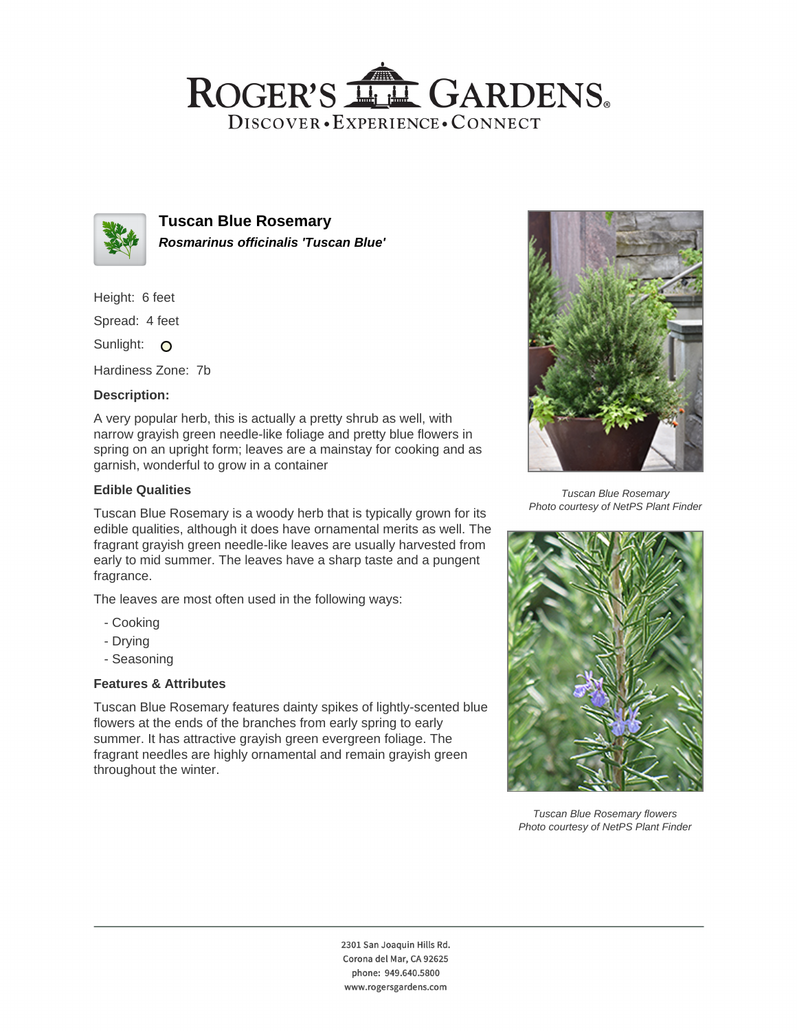# ROGER'S LL GARDENS. DISCOVER · EXPERIENCE · CONNECT



**Tuscan Blue Rosemary Rosmarinus officinalis 'Tuscan Blue'**

Height: 6 feet

Spread: 4 feet

Sunlight: O

Hardiness Zone: 7b

### **Description:**

A very popular herb, this is actually a pretty shrub as well, with narrow grayish green needle-like foliage and pretty blue flowers in spring on an upright form; leaves are a mainstay for cooking and as garnish, wonderful to grow in a container

### **Edible Qualities**

Tuscan Blue Rosemary is a woody herb that is typically grown for its edible qualities, although it does have ornamental merits as well. The fragrant grayish green needle-like leaves are usually harvested from early to mid summer. The leaves have a sharp taste and a pungent fragrance.

The leaves are most often used in the following ways:

- Cooking
- Drying
- Seasoning

## **Features & Attributes**

Tuscan Blue Rosemary features dainty spikes of lightly-scented blue flowers at the ends of the branches from early spring to early summer. It has attractive grayish green evergreen foliage. The fragrant needles are highly ornamental and remain grayish green throughout the winter.



Tuscan Blue Rosemary Photo courtesy of NetPS Plant Finder



Tuscan Blue Rosemary flowers Photo courtesy of NetPS Plant Finder

2301 San Joaquin Hills Rd. Corona del Mar, CA 92625 phone: 949.640.5800 www.rogersgardens.com